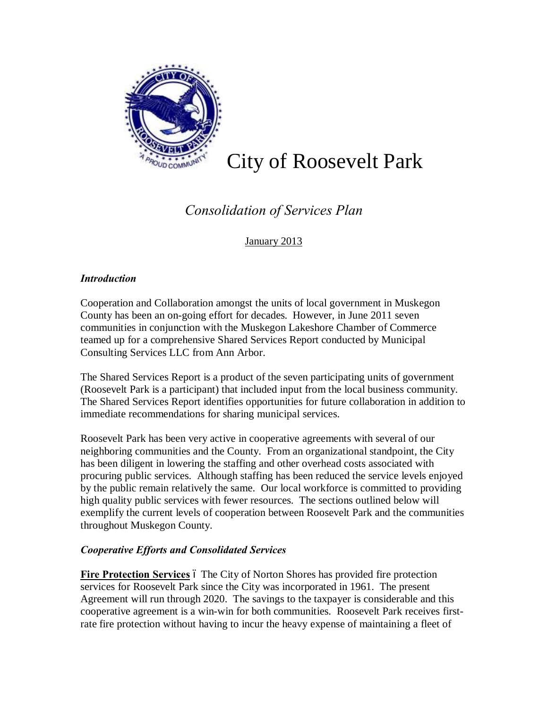

# City of Roosevelt Park

## *Consolidation of Services Plan*

### January 2013

#### *Introduction*

Cooperation and Collaboration amongst the units of local government in Muskegon County has been an on-going effort for decades. However, in June 2011 seven communities in conjunction with the Muskegon Lakeshore Chamber of Commerce teamed up for a comprehensive Shared Services Report conducted by Municipal Consulting Services LLC from Ann Arbor.

The Shared Services Report is a product of the seven participating units of government (Roosevelt Park is a participant) that included input from the local business community. The Shared Services Report identifies opportunities for future collaboration in addition to immediate recommendations for sharing municipal services.

Roosevelt Park has been very active in cooperative agreements with several of our neighboring communities and the County. From an organizational standpoint, the City has been diligent in lowering the staffing and other overhead costs associated with procuring public services. Although staffing has been reduced the service levels enjoyed by the public remain relatively the same. Our local workforce is committed to providing high quality public services with fewer resources. The sections outlined below will exemplify the current levels of cooperation between Roosevelt Park and the communities throughout Muskegon County.

#### *Cooperative Efforts and Consolidated Services*

**Fire Protection Services** 6 The City of Norton Shores has provided fire protection services for Roosevelt Park since the City was incorporated in 1961. The present Agreement will run through 2020. The savings to the taxpayer is considerable and this cooperative agreement is a win-win for both communities. Roosevelt Park receives firstrate fire protection without having to incur the heavy expense of maintaining a fleet of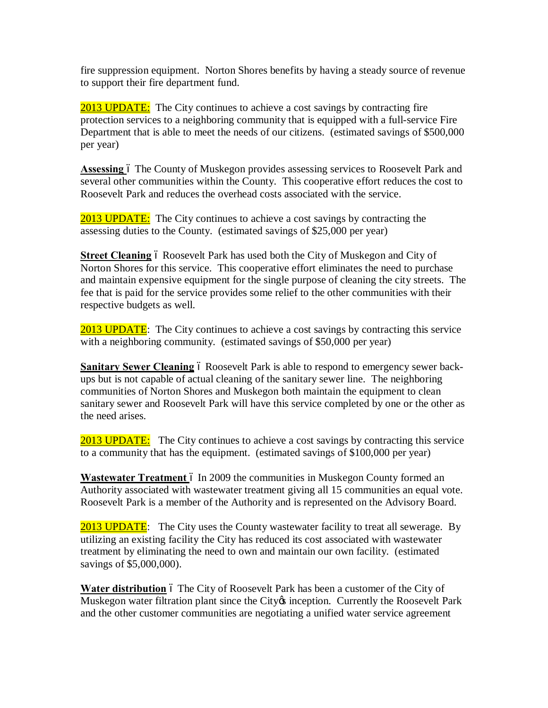fire suppression equipment. Norton Shores benefits by having a steady source of revenue to support their fire department fund.

2013 UPDATE: The City continues to achieve a cost savings by contracting fire protection services to a neighboring community that is equipped with a full-service Fire Department that is able to meet the needs of our citizens. (estimated savings of \$500,000 per year)

Assessing 6 The County of Muskegon provides assessing services to Roosevelt Park and several other communities within the County. This cooperative effort reduces the cost to Roosevelt Park and reduces the overhead costs associated with the service.

2013 UPDATE: The City continues to achieve a cost savings by contracting the assessing duties to the County. (estimated savings of \$25,000 per year)

**Street Cleaning** 6 Roosevelt Park has used both the City of Muskegon and City of Norton Shores for this service. This cooperative effort eliminates the need to purchase and maintain expensive equipment for the single purpose of cleaning the city streets. The fee that is paid for the service provides some relief to the other communities with their respective budgets as well.

2013 UPDATE: The City continues to achieve a cost savings by contracting this service with a neighboring community. (estimated savings of \$50,000 per year)

**Sanitary Sewer Cleaning** 6 Roosevelt Park is able to respond to emergency sewer backups but is not capable of actual cleaning of the sanitary sewer line. The neighboring communities of Norton Shores and Muskegon both maintain the equipment to clean sanitary sewer and Roosevelt Park will have this service completed by one or the other as the need arises.

2013 UPDATE: The City continues to achieve a cost savings by contracting this service to a community that has the equipment. (estimated savings of \$100,000 per year)

**Wastewater Treatment** 6 In 2009 the communities in Muskegon County formed an Authority associated with wastewater treatment giving all 15 communities an equal vote. Roosevelt Park is a member of the Authority and is represented on the Advisory Board.

2013 UPDATE: The City uses the County wastewater facility to treat all sewerage. By utilizing an existing facility the City has reduced its cost associated with wastewater treatment by eliminating the need to own and maintain our own facility. (estimated savings of \$5,000,000).

**Water distribution** 6 The City of Roosevelt Park has been a customer of the City of Muskegon water filtration plant since the City inception. Currently the Roosevelt Park and the other customer communities are negotiating a unified water service agreement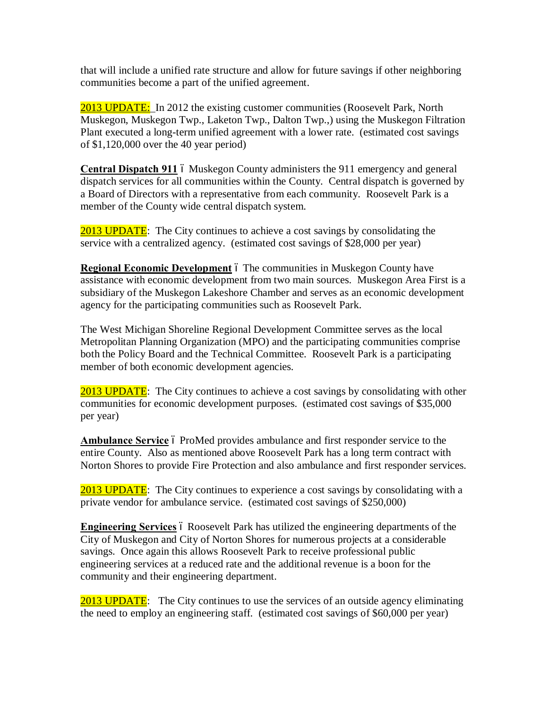that will include a unified rate structure and allow for future savings if other neighboring communities become a part of the unified agreement.

2013 UPDATE: In 2012 the existing customer communities (Roosevelt Park, North Muskegon, Muskegon Twp., Laketon Twp., Dalton Twp.,) using the Muskegon Filtration Plant executed a long-term unified agreement with a lower rate. (estimated cost savings of \$1,120,000 over the 40 year period)

**Central Dispatch 911** 6 Muskegon County administers the 911 emergency and general dispatch services for all communities within the County. Central dispatch is governed by a Board of Directors with a representative from each community. Roosevelt Park is a member of the County wide central dispatch system.

2013 UPDATE: The City continues to achieve a cost savings by consolidating the service with a centralized agency. (estimated cost savings of \$28,000 per year)

**Regional Economic Development** 6 The communities in Muskegon County have assistance with economic development from two main sources. Muskegon Area First is a subsidiary of the Muskegon Lakeshore Chamber and serves as an economic development agency for the participating communities such as Roosevelt Park.

The West Michigan Shoreline Regional Development Committee serves as the local Metropolitan Planning Organization (MPO) and the participating communities comprise both the Policy Board and the Technical Committee. Roosevelt Park is a participating member of both economic development agencies.

2013 UPDATE: The City continues to achieve a cost savings by consolidating with other communities for economic development purposes. (estimated cost savings of \$35,000 per year)

Ambulance Service 6 ProMed provides ambulance and first responder service to the entire County. Also as mentioned above Roosevelt Park has a long term contract with Norton Shores to provide Fire Protection and also ambulance and first responder services.

2013 UPDATE: The City continues to experience a cost savings by consolidating with a private vendor for ambulance service. (estimated cost savings of \$250,000)

**Engineering Services** 6 Roosevelt Park has utilized the engineering departments of the City of Muskegon and City of Norton Shores for numerous projects at a considerable savings. Once again this allows Roosevelt Park to receive professional public engineering services at a reduced rate and the additional revenue is a boon for the community and their engineering department.

2013 UPDATE: The City continues to use the services of an outside agency eliminating the need to employ an engineering staff. (estimated cost savings of \$60,000 per year)